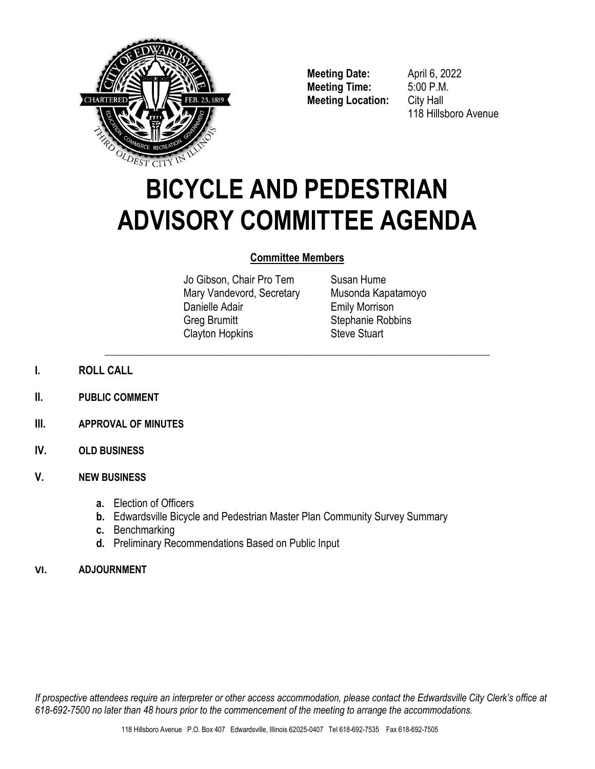

**Meeting Date:** April 6, 2022 **Meeting Time:** 5:00 P.M. **Meeting Location:** City Hall

118 Hillsboro Avenue

# **BICYCLE AND PEDESTRIAN ADVISORY COMMITTEE AGENDA**

# **Committee Members**

\_\_\_\_\_\_\_\_\_\_\_\_\_\_\_\_\_\_\_\_\_\_\_\_\_\_\_\_\_\_\_\_\_\_\_\_\_\_\_\_\_\_\_\_\_\_\_\_\_\_\_\_\_\_\_\_\_\_\_\_\_\_\_\_\_\_\_\_\_\_\_\_\_\_\_\_\_\_\_

Jo Gibson, Chair Pro Tem Mary Vandevord, Secretary Danielle Adair Greg Brumitt Clayton Hopkins

Susan Hume Musonda Kapatamoyo Emily Morrison Stephanie Robbins Steve Stuart

- **I. ROLL CALL**
- **II. PUBLIC COMMENT**
- **III. APPROVAL OF MINUTES**
- **IV. OLD BUSINESS**

# **V. NEW BUSINESS**

- **a.** Election of Officers
- **b.** Edwardsville Bicycle and Pedestrian Master Plan Community Survey Summary
- **c.** Benchmarking
- **d.** Preliminary Recommendations Based on Public Input

# **VI. ADJOURNMENT**

*If prospective attendees require an interpreter or other access accommodation, please contact the Edwardsville City Clerk's office at 618-692-7500 no later than 48 hours prior to the commencement of the meeting to arrange the accommodations.*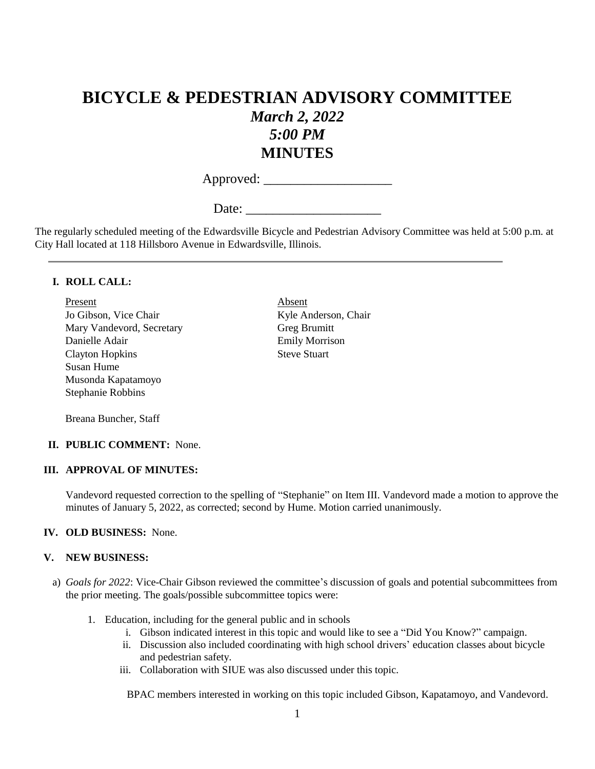# **BICYCLE & PEDESTRIAN ADVISORY COMMITTEE** *March 2, 2022 5:00 PM* **MINUTES**

Approved: \_\_\_\_\_\_\_\_\_\_\_\_\_\_\_\_\_\_\_

Date:

The regularly scheduled meeting of the Edwardsville Bicycle and Pedestrian Advisory Committee was held at 5:00 p.m. at City Hall located at 118 Hillsboro Avenue in Edwardsville, Illinois.

#### **I. ROLL CALL:**

Present Absent Jo Gibson, Vice Chair Kyle Anderson, Chair Mary Vandevord, Secretary Greg Brumitt Danielle Adair Emily Morrison Clayton Hopkins Steve Stuart Susan Hume Musonda Kapatamoyo Stephanie Robbins

Breana Buncher, Staff

#### **II. PUBLIC COMMENT:** None.

#### **III. APPROVAL OF MINUTES:**

Vandevord requested correction to the spelling of "Stephanie" on Item III. Vandevord made a motion to approve the minutes of January 5, 2022, as corrected; second by Hume. Motion carried unanimously.

#### **IV. OLD BUSINESS:** None.

#### **V. NEW BUSINESS:**

- a) *Goals for 2022*: Vice-Chair Gibson reviewed the committee's discussion of goals and potential subcommittees from the prior meeting. The goals/possible subcommittee topics were:
	- 1. Education, including for the general public and in schools
		- i. Gibson indicated interest in this topic and would like to see a "Did You Know?" campaign.
		- ii. Discussion also included coordinating with high school drivers' education classes about bicycle and pedestrian safety.
		- iii. Collaboration with SIUE was also discussed under this topic.

BPAC members interested in working on this topic included Gibson, Kapatamoyo, and Vandevord.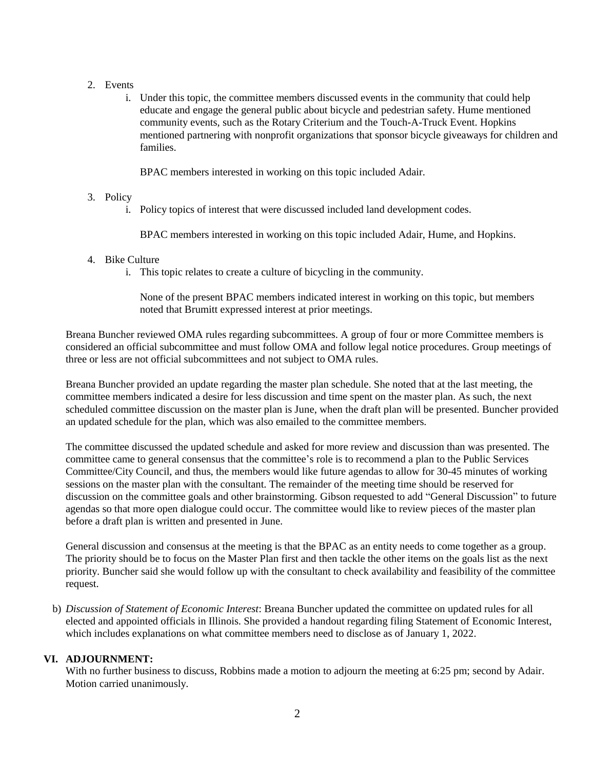#### 2. Events

i. Under this topic, the committee members discussed events in the community that could help educate and engage the general public about bicycle and pedestrian safety. Hume mentioned community events, such as the Rotary Criterium and the Touch-A-Truck Event. Hopkins mentioned partnering with nonprofit organizations that sponsor bicycle giveaways for children and families.

BPAC members interested in working on this topic included Adair.

#### 3. Policy

i. Policy topics of interest that were discussed included land development codes.

BPAC members interested in working on this topic included Adair, Hume, and Hopkins.

#### 4. Bike Culture

i. This topic relates to create a culture of bicycling in the community.

None of the present BPAC members indicated interest in working on this topic, but members noted that Brumitt expressed interest at prior meetings.

Breana Buncher reviewed OMA rules regarding subcommittees. A group of four or more Committee members is considered an official subcommittee and must follow OMA and follow legal notice procedures. Group meetings of three or less are not official subcommittees and not subject to OMA rules.

Breana Buncher provided an update regarding the master plan schedule. She noted that at the last meeting, the committee members indicated a desire for less discussion and time spent on the master plan. As such, the next scheduled committee discussion on the master plan is June, when the draft plan will be presented. Buncher provided an updated schedule for the plan, which was also emailed to the committee members.

The committee discussed the updated schedule and asked for more review and discussion than was presented. The committee came to general consensus that the committee's role is to recommend a plan to the Public Services Committee/City Council, and thus, the members would like future agendas to allow for 30-45 minutes of working sessions on the master plan with the consultant. The remainder of the meeting time should be reserved for discussion on the committee goals and other brainstorming. Gibson requested to add "General Discussion" to future agendas so that more open dialogue could occur. The committee would like to review pieces of the master plan before a draft plan is written and presented in June.

General discussion and consensus at the meeting is that the BPAC as an entity needs to come together as a group. The priority should be to focus on the Master Plan first and then tackle the other items on the goals list as the next priority. Buncher said she would follow up with the consultant to check availability and feasibility of the committee request.

b) *Discussion of Statement of Economic Interest*: Breana Buncher updated the committee on updated rules for all elected and appointed officials in Illinois. She provided a handout regarding filing Statement of Economic Interest, which includes explanations on what committee members need to disclose as of January 1, 2022.

# **VI. ADJOURNMENT:**

With no further business to discuss, Robbins made a motion to adjourn the meeting at 6:25 pm; second by Adair. Motion carried unanimously.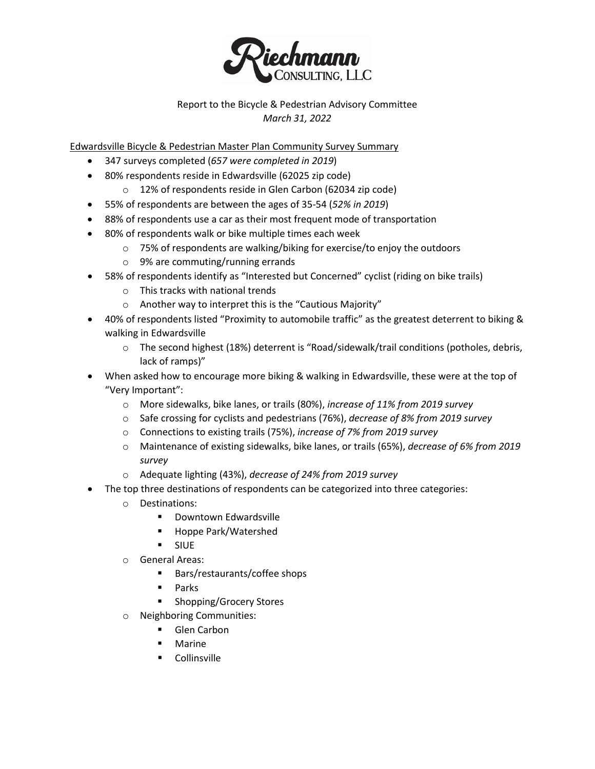

# Report to the Bicycle & Pedestrian Advisory Committee *March 31, 2022*

Edwardsville Bicycle & Pedestrian Master Plan Community Survey Summary

- 347 surveys completed (*657 were completed in 2019*)
- 80% respondents reside in Edwardsville (62025 zip code)
	- o 12% of respondents reside in Glen Carbon (62034 zip code)
- 55% of respondents are between the ages of 35-54 (*52% in 2019*)
- 88% of respondents use a car as their most frequent mode of transportation
- 80% of respondents walk or bike multiple times each week
	- $\circ$  75% of respondents are walking/biking for exercise/to enjoy the outdoors
	- o 9% are commuting/running errands
- 58% of respondents identify as "Interested but Concerned" cyclist (riding on bike trails)
	- o This tracks with national trends
	- o Another way to interpret this is the "Cautious Majority"
- 40% of respondents listed "Proximity to automobile traffic" as the greatest deterrent to biking & walking in Edwardsville
	- o The second highest (18%) deterrent is "Road/sidewalk/trail conditions (potholes, debris, lack of ramps)"
- When asked how to encourage more biking & walking in Edwardsville, these were at the top of "Very Important":
	- o More sidewalks, bike lanes, or trails (80%), *increase of 11% from 2019 survey*
	- o Safe crossing for cyclists and pedestrians (76%), *decrease of 8% from 2019 survey*
	- o Connections to existing trails (75%), *increase of 7% from 2019 survey*
	- o Maintenance of existing sidewalks, bike lanes, or trails (65%), *decrease of 6% from 2019 survey*
	- o Adequate lighting (43%), *decrease of 24% from 2019 survey*
- The top three destinations of respondents can be categorized into three categories:
	- o Destinations:
		- **-** Downtown Edwardsville
		- Hoppe Park/Watershed
		- **SIUE**
	- o General Areas:
		- Bars/restaurants/coffee shops
		- Parks
		- Shopping/Grocery Stores
	- o Neighboring Communities:
		- **Glen Carbon**
		- **■** Marine
		- **Collinsville**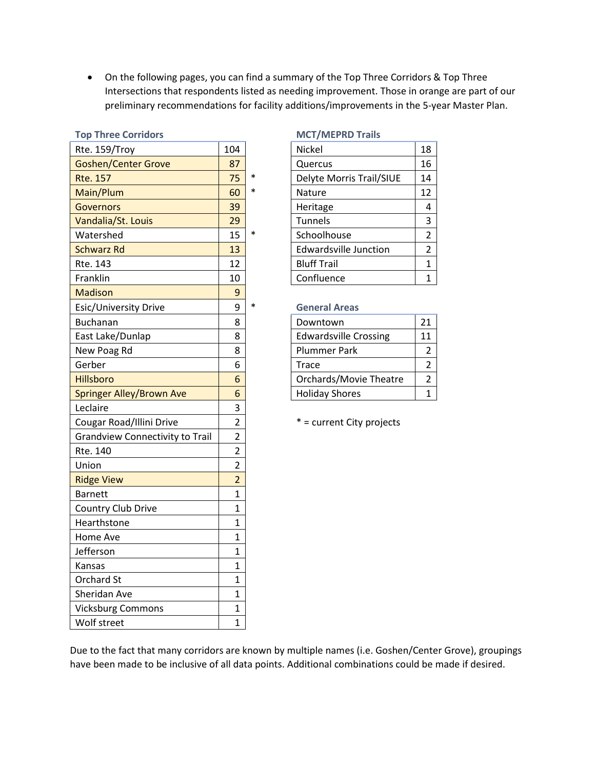• On the following pages, you can find a summary of the Top Three Corridors & Top Three Intersections that respondents listed as needing improvement. Those in orange are part of our preliminary recommendations for facility additions/improvements in the 5-year Master Plan.

| י טא יייי ככ כטווימטו                  |                |        |                              |                |
|----------------------------------------|----------------|--------|------------------------------|----------------|
| Rte. 159/Troy                          | 104            |        | Nickel                       | 18             |
| <b>Goshen/Center Grove</b>             | 87             |        | Quercus                      | 16             |
| <b>Rte. 157</b>                        | 75             | $\ast$ | Delyte Morris Trail/SIUE     | 14             |
| Main/Plum                              | 60             | $\ast$ | Nature                       | 12             |
| <b>Governors</b>                       | 39             |        | Heritage                     | 4              |
| Vandalia/St. Louis                     | 29             |        | Tunnels                      | 3              |
| Watershed                              | 15             | $\ast$ | Schoolhouse                  | $\overline{2}$ |
| <b>Schwarz Rd</b>                      | 13             |        | <b>Edwardsville Junction</b> | $\overline{2}$ |
| Rte. 143                               | 12             |        | <b>Bluff Trail</b>           | $\overline{1}$ |
| Franklin                               | 10             |        | Confluence                   | $\mathbf{1}$   |
| <b>Madison</b>                         | 9              |        |                              |                |
| Esic/University Drive                  | 9              | $\ast$ | <b>General Areas</b>         |                |
| <b>Buchanan</b>                        | 8              |        | Downtown                     | 21             |
| East Lake/Dunlap                       | 8              |        | <b>Edwardsville Crossing</b> | 11             |
| New Poag Rd                            | 8              |        | <b>Plummer Park</b>          | $\overline{2}$ |
| Gerber                                 | 6              |        | <b>Trace</b>                 | $\overline{2}$ |
| Hillsboro                              | 6              |        | Orchards/Movie Theatre       | $\overline{2}$ |
| <b>Springer Alley/Brown Ave</b>        | 6              |        | <b>Holiday Shores</b>        | $\overline{1}$ |
| Leclaire                               | 3              |        |                              |                |
| Cougar Road/Illini Drive               | $\overline{2}$ |        | * = current City projects    |                |
| <b>Grandview Connectivity to Trail</b> | $\overline{2}$ |        |                              |                |
| Rte. 140                               | $\overline{2}$ |        |                              |                |
| Union                                  | $\overline{2}$ |        |                              |                |
| <b>Ridge View</b>                      | $\overline{2}$ |        |                              |                |
| <b>Barnett</b>                         | $\mathbf{1}$   |        |                              |                |
| Country Club Drive                     | $\mathbf{1}$   |        |                              |                |
| Hearthstone                            | $\mathbf{1}$   |        |                              |                |
| Home Ave                               | $\mathbf{1}$   |        |                              |                |
| Jefferson                              | $\mathbf{1}$   |        |                              |                |
| Kansas                                 | $\mathbf{1}$   |        |                              |                |
| Orchard St                             | $\mathbf{1}$   |        |                              |                |
| Sheridan Ave                           | $\mathbf 1$    |        |                              |                |
| <b>Vicksburg Commons</b>               | $\mathbf{1}$   |        |                              |                |
| Wolf street                            | $\overline{1}$ |        |                              |                |
|                                        |                |        |                              |                |

#### **Top Three Corridors MCT/MEPRD Trails**

| Nickel                       | 18             |
|------------------------------|----------------|
| Quercus                      | 16             |
| Delyte Morris Trail/SIUE     | 14             |
| Nature                       | 12             |
| Heritage                     | 4              |
| <b>Tunnels</b>               | 3              |
| Schoolhouse                  | 2              |
| <b>Edwardsville Junction</b> | $\overline{2}$ |
| <b>Bluff Trail</b>           | 1              |
| Confluence                   |                |

#### **General Areas**

| Downtown                      | 21 |
|-------------------------------|----|
| <b>Edwardsville Crossing</b>  | 11 |
| Plummer Park                  |    |
| Trace                         |    |
| <b>Orchards/Movie Theatre</b> |    |
| <b>Holiday Shores</b>         |    |

Due to the fact that many corridors are known by multiple names (i.e. Goshen/Center Grove), groupings have been made to be inclusive of all data points. Additional combinations could be made if desired.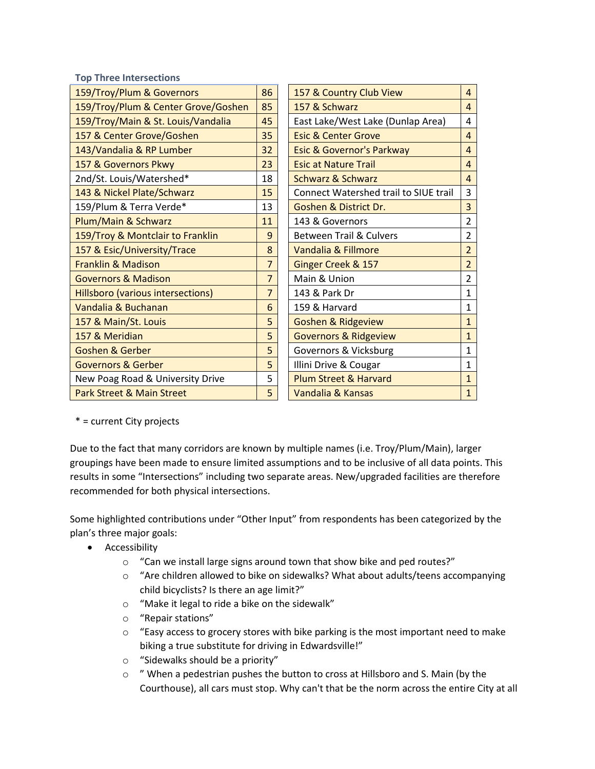**Top Three Intersections**

| 159/Troy/Plum & Governors            | 86             | 157 & Country Club View               | 4              |
|--------------------------------------|----------------|---------------------------------------|----------------|
| 159/Troy/Plum & Center Grove/Goshen  | 85             | 157 & Schwarz                         | $\overline{4}$ |
| 159/Troy/Main & St. Louis/Vandalia   | 45             | East Lake/West Lake (Dunlap Area)     | 4              |
| 157 & Center Grove/Goshen            | 35             | <b>Esic &amp; Center Grove</b>        | $\overline{4}$ |
| 143/Vandalia & RP Lumber             | 32             | <b>Esic &amp; Governor's Parkway</b>  | $\overline{4}$ |
| 157 & Governors Pkwy                 | 23             | <b>Esic at Nature Trail</b>           | $\overline{4}$ |
| 2nd/St. Louis/Watershed*             | 18             | <b>Schwarz &amp; Schwarz</b>          | $\overline{4}$ |
| 143 & Nickel Plate/Schwarz           | 15             | Connect Watershed trail to SIUE trail | 3              |
| 159/Plum & Terra Verde*              | 13             | Goshen & District Dr.                 | 3              |
| Plum/Main & Schwarz                  | 11             | 143 & Governors                       | $\overline{2}$ |
| 159/Troy & Montclair to Franklin     | 9              | <b>Between Trail &amp; Culvers</b>    | $\overline{2}$ |
| 157 & Esic/University/Trace          | 8              | Vandalia & Fillmore                   | $\overline{2}$ |
| <b>Franklin &amp; Madison</b>        | $\overline{7}$ | Ginger Creek & 157                    | $\overline{2}$ |
| <b>Governors &amp; Madison</b>       | $\overline{7}$ | Main & Union                          | $\overline{2}$ |
| Hillsboro (various intersections)    | $\overline{7}$ | 143 & Park Dr                         | $\mathbf{1}$   |
| Vandalia & Buchanan                  | 6              | 159 & Harvard                         | 1              |
| 157 & Main/St. Louis                 | 5              | <b>Goshen &amp; Ridgeview</b>         | $\mathbf{1}$   |
| 157 & Meridian                       | 5              | <b>Governors &amp; Ridgeview</b>      | $\mathbf{1}$   |
| <b>Goshen &amp; Gerber</b>           | 5              | Governors & Vicksburg                 | $\mathbf{1}$   |
| <b>Governors &amp; Gerber</b>        | 5              | Illini Drive & Cougar                 | $\mathbf{1}$   |
| New Poag Road & University Drive     | 5              | <b>Plum Street &amp; Harvard</b>      | $\mathbf{1}$   |
| <b>Park Street &amp; Main Street</b> | 5              | Vandalia & Kansas                     | $\mathbf{1}$   |

\* = current City projects

Due to the fact that many corridors are known by multiple names (i.e. Troy/Plum/Main), larger groupings have been made to ensure limited assumptions and to be inclusive of all data points. This results in some "Intersections" including two separate areas. New/upgraded facilities are therefore recommended for both physical intersections.

Some highlighted contributions under "Other Input" from respondents has been categorized by the plan's three major goals:

- Accessibility
	- o "Can we install large signs around town that show bike and ped routes?"
	- $\circ$  "Are children allowed to bike on sidewalks? What about adults/teens accompanying child bicyclists? Is there an age limit?"
	- o "Make it legal to ride a bike on the sidewalk"
	- o "Repair stations"
	- $\circ$  "Easy access to grocery stores with bike parking is the most important need to make biking a true substitute for driving in Edwardsville!"
	- o "Sidewalks should be a priority"
	- $\circ$  " When a pedestrian pushes the button to cross at Hillsboro and S. Main (by the Courthouse), all cars must stop. Why can't that be the norm across the entire City at all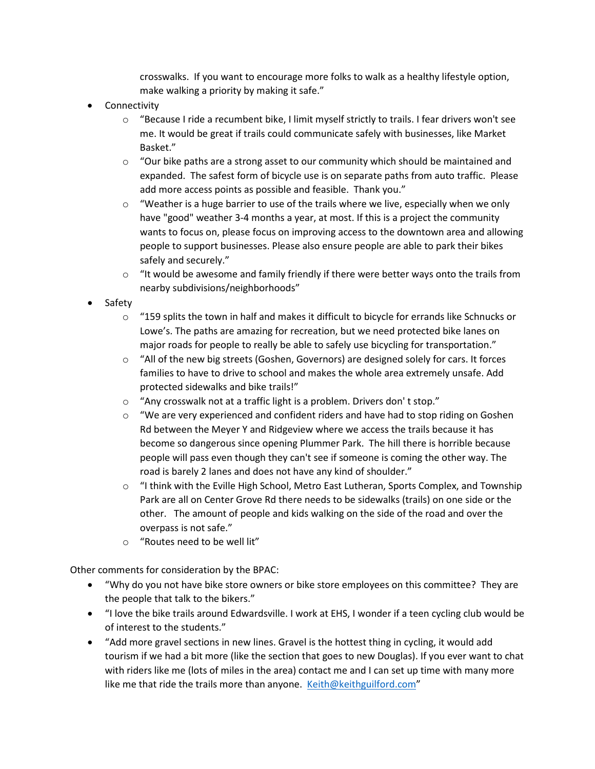crosswalks. If you want to encourage more folks to walk as a healthy lifestyle option, make walking a priority by making it safe."

- **Connectivity** 
	- $\circ$  "Because I ride a recumbent bike, I limit myself strictly to trails. I fear drivers won't see me. It would be great if trails could communicate safely with businesses, like Market Basket."
	- $\circ$  "Our bike paths are a strong asset to our community which should be maintained and expanded. The safest form of bicycle use is on separate paths from auto traffic. Please add more access points as possible and feasible. Thank you."
	- $\circ$  "Weather is a huge barrier to use of the trails where we live, especially when we only have "good" weather 3-4 months a year, at most. If this is a project the community wants to focus on, please focus on improving access to the downtown area and allowing people to support businesses. Please also ensure people are able to park their bikes safely and securely."
	- $\circ$  "It would be awesome and family friendly if there were better ways onto the trails from nearby subdivisions/neighborhoods"
- Safety
	- $\circ$  "159 splits the town in half and makes it difficult to bicycle for errands like Schnucks or Lowe's. The paths are amazing for recreation, but we need protected bike lanes on major roads for people to really be able to safely use bicycling for transportation."
	- $\circ$  "All of the new big streets (Goshen, Governors) are designed solely for cars. It forces families to have to drive to school and makes the whole area extremely unsafe. Add protected sidewalks and bike trails!"
	- o "Any crosswalk not at a traffic light is a problem. Drivers don' t stop."
	- $\circ$  "We are very experienced and confident riders and have had to stop riding on Goshen Rd between the Meyer Y and Ridgeview where we access the trails because it has become so dangerous since opening Plummer Park. The hill there is horrible because people will pass even though they can't see if someone is coming the other way. The road is barely 2 lanes and does not have any kind of shoulder."
	- o "I think with the Eville High School, Metro East Lutheran, Sports Complex, and Township Park are all on Center Grove Rd there needs to be sidewalks (trails) on one side or the other. The amount of people and kids walking on the side of the road and over the overpass is not safe."
	- o "Routes need to be well lit"

Other comments for consideration by the BPAC:

- "Why do you not have bike store owners or bike store employees on this committee? They are the people that talk to the bikers."
- "I love the bike trails around Edwardsville. I work at EHS, I wonder if a teen cycling club would be of interest to the students."
- "Add more gravel sections in new lines. Gravel is the hottest thing in cycling, it would add tourism if we had a bit more (like the section that goes to new Douglas). If you ever want to chat with riders like me (lots of miles in the area) contact me and I can set up time with many more like me that ride the trails more than anyone. [Keith@keithguilford.com"](mailto:Keith@keithguilford.com)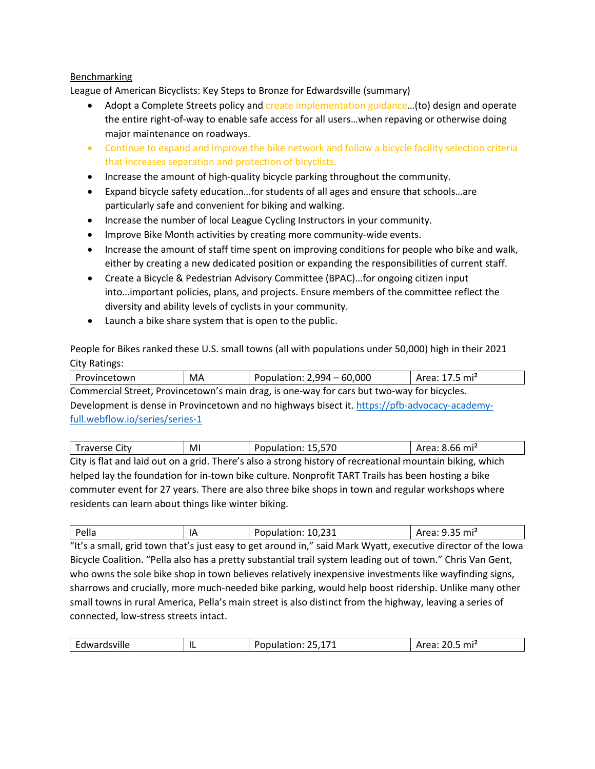#### Benchmarking

League of American Bicyclists: Key Steps to Bronze for Edwardsville (summary)

- Adopt a Complete Streets policy and create implementation guidance...(to) design and operate the entire right-of-way to enable safe access for all users…when repaving or otherwise doing major maintenance on roadways.
- Continue to expand and improve the bike network and follow a bicycle facility selection criteria that increases separation and protection of bicyclists.
- Increase the amount of high-quality bicycle parking throughout the community.
- Expand bicycle safety education…for students of all ages and ensure that schools…are particularly safe and convenient for biking and walking.
- Increase the number of local League Cycling Instructors in your community.
- Improve Bike Month activities by creating more community-wide events.
- Increase the amount of staff time spent on improving conditions for people who bike and walk, either by creating a new dedicated position or expanding the responsibilities of current staff.
- Create a Bicycle & Pedestrian Advisory Committee (BPAC)…for ongoing citizen input into…important policies, plans, and projects. Ensure members of the committee reflect the diversity and ability levels of cyclists in your community.
- Launch a bike share system that is open to the public.

People for Bikes ranked these U.S. small towns (all with populations under 50,000) high in their 2021 City Ratings:

| Provincetown                    | MA | Population: 2,994 - 60,000                                                                    | Area: 17.5 mi <sup>2</sup> |
|---------------------------------|----|-----------------------------------------------------------------------------------------------|----------------------------|
|                                 |    | Commercial Street, Provincetown's main drag, is one-way for cars but two-way for bicycles.    |                            |
|                                 |    | Development is dense in Provincetown and no highways bisect it. https://pfb-advocacy-academy- |                            |
| full.webflow.io/series/series-1 |    |                                                                                               |                            |

| Traverse City                                        | MI | Population: 15,570                                                                                        | Area: 8.66 mi <sup>2</sup> |
|------------------------------------------------------|----|-----------------------------------------------------------------------------------------------------------|----------------------------|
|                                                      |    | City is flat and laid out on a grid. There's also a strong history of recreational mountain biking, which |                            |
|                                                      |    | helped lay the foundation for in-town bike culture. Nonprofit TART Trails has been hosting a bike         |                            |
|                                                      |    | commuter event for 27 years. There are also three bike shops in town and regular workshops where          |                            |
| residents can learn about things like winter biking. |    |                                                                                                           |                            |

| Pella | IΑ | つつ1<br>10,231<br><b>Ponulation</b><br>fuiation:<br>$-$ | $\sim$ $-$<br>mi <sup>2</sup><br>$- - - -$<br>- -<br>. |
|-------|----|--------------------------------------------------------|--------------------------------------------------------|

"It's a small, grid town that's just easy to get around in," said Mark Wyatt, executive director of the Iowa Bicycle Coalition. "Pella also has a pretty substantial trail system leading out of town." Chris Van Gent, who owns the sole bike shop in town believes relatively inexpensive investments like wayfinding signs, sharrows and crucially, more much-needed bike parking, would help boost ridership. Unlike many other small towns in rural America, Pella's main street is also distinct from the highway, leaving a series of connected, low-stress streets intact.

| . .<br>⇁<br>mi<br>ตพล<br>AVIIII<br>. .<br>. |
|---------------------------------------------|
|---------------------------------------------|